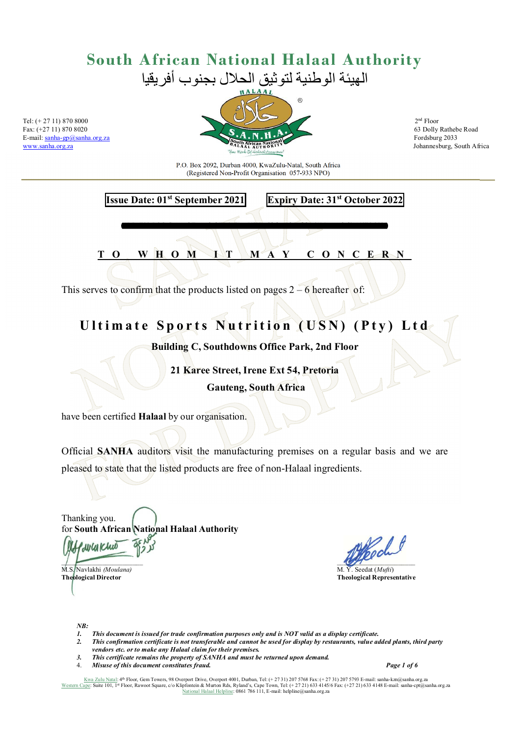E-mail: sanha-gp@sanha.org.za<br>www.sanha.org.za



Johannesburg, South Africa

P.O. Box 2092, Durban 4000, KwaZulu-Natal, South Africa (Registered Non-Profit Organisation 057-933 NPO)

**Issue Date: 01st September 2021 Expiry Date: 31st October 2022** 

**T O W H O M I T M A Y C O N C E R N**

*ADD-F08-LOC-General Extended ED3 (2) – USN - Globepak: ad-loc/AM-mys-fgd/446//08.2021* 

This serves to confirm that the products listed on pages  $2 - 6$  hereafter of:

#### Ultimate Sports Nutrition (USN) (Pty) Ltd

**Building C, Southdowns Office Park, 2nd Floor** 

**21 Karee Street, Irene Ext 54, Pretoria Gauteng, South Africa**

have been certified **Halaal** by our organisation.

Official **SANHA** auditors visit the manufacturing premises on a regular basis and we are pleased to state that the listed products are free of non-Halaal ingredients.

Thanking you. for **South African National Halaal Authority** 

 $\overline{\phantom{a}}$ 

M.S. Navlakhi *(Moulana)* **M.S. Navlakhi** *(Moulana)* **M.Y. Seedat (***Mufti***) Theological Director Theological Representative** 

*NB:* 

WW Khud

- *1. This document is issued for trade confirmation purposes only and is NOT valid as a display certificate.*
- *2. This confirmation certificate is not transferable and cannot be used for display by restaurants, value added plants, third party vendors etc. or to make any Halaal claim for their premises.*
- *3. This certificate remains the property of SANHA and must be returned upon demand.*
- 4. *Misuse of this document constitutes fraud. Page 1 of 6*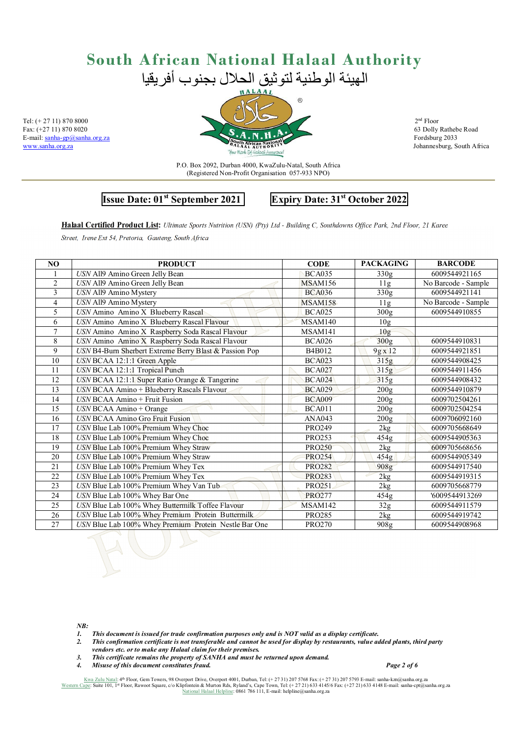E-mail: sanha-gp@sanha.org.za<br>www.sanha.org.za



Johannesburg, South Africa

P.O. Box 2092, Durban 4000, KwaZulu-Natal, South Africa (Registered Non-Profit Organisation 057-933 NPO)

**Issue Date: 01st September 2021 Expiry Date: 31st October 2022** 

**Halaal Certified Product List:** *Ultimate Sports Nutrition (USN) (Pty) Ltd - Building C, Southdowns Office Park, 2nd Floor, 21 Karee* 

*Street, Irene Ext 54, Pretoria, Gauteng, South Africa*

| NO             | <b>PRODUCT</b>                                         | <b>CODE</b>    | <b>PACKAGING</b> | <b>BARCODE</b>      |
|----------------|--------------------------------------------------------|----------------|------------------|---------------------|
|                | USN All9 Amino Green Jelly Bean                        | <b>BCA035</b>  | 330g             | 6009544921165       |
| $\overline{2}$ | <b>USN All9 Amino Green Jelly Bean</b>                 | <b>MSAM156</b> | 11g              | No Barcode - Sample |
| 3              | USN All9 Amino Mystery                                 | <b>BCA036</b>  | 330g             | 6009544921141       |
| 4              | USN All9 Amino Mystery                                 | <b>MSAM158</b> | 11g              | No Barcode - Sample |
| 5              | USN Amino Amino X Blueberry Rascal                     | <b>BCA025</b>  | 300g             | 6009544910855       |
| 6              | USN Amino Amino X Blueberry Rascal Flavour             | MSAM140        | 10 <sub>g</sub>  |                     |
| 7              | USN Amino Amino X Raspberry Soda Rascal Flavour        | MSAM141        | 10 <sub>g</sub>  |                     |
| 8              | USN Amino Amino X Raspberry Soda Rascal Flavour        | <b>BCA026</b>  | 300g             | 6009544910831       |
| 9              | USN B4-Burn Sherbert Extreme Berry Blast & Passion Pop | B4B012         | $9g \times 12$   | 6009544921851       |
| 10             | USN BCAA 12:1:1 Green Apple                            | <b>BCA023</b>  | 315g             | 6009544908425       |
| 11             | USN BCAA 12:1:1 Tropical Punch                         | <b>BCA027</b>  | 315g             | 6009544911456       |
| 12             | USN BCAA 12:1:1 Super Ratio Orange & Tangerine         | <b>BCA024</b>  | 315g             | 6009544908432       |
| 13             | USN BCAA Amino + Blueberry Rascals Flavour             | <b>BCA029</b>  | 200g             | 6009544910879       |
| 14             | $USN BCAA$ Amino + Fruit Fusion                        | <b>BCA009</b>  | 200g             | 6009702504261       |
| 15             | USN BCAA Amino + Orange                                | <b>BCA011</b>  | 200g             | 6009702504254       |
| 16             | <b>USN BCAA Amino Gro Fruit Fusion</b>                 | ANA043         | 200g             | 6009706092160       |
| 17             | USN Blue Lab 100% Premium Whey Choc                    | <b>PRO249</b>  | 2kg              | 6009705668649       |
| 18             | USN Blue Lab 100% Premium Whey Choc                    | <b>PRO253</b>  | 454g             | 6009544905363       |
| 19             | USN Blue Lab 100% Premium Whey Straw                   | <b>PRO250</b>  | 2kg              | 6009705668656       |
| 20             | USN Blue Lab 100% Premium Whey Straw                   | <b>PRO254</b>  | 454g             | 6009544905349       |
| 21             | USN Blue Lab 100% Premium Whey Tex                     | <b>PRO282</b>  | 908g             | 6009544917540       |
| 22             | USN Blue Lab 100% Premium Whey Tex                     | <b>PRO283</b>  | 2kg              | 6009544919315       |
| 23             | USN Blue Lab 100% Premium Whey Van Tub                 | <b>PRO251</b>  | 2kg              | 6009705668779       |
| 24             | USN Blue Lab 100% Whey Bar One                         | <b>PRO277</b>  | 454g             | '6009544913269      |
| 25             | USN Blue Lab 100% Whey Buttermilk Toffee Flavour       | MSAM142        | 32g              | 6009544911579       |
| 26             | USN Blue Lab 100% Whey Premium Protein Buttermilk      | <b>PRO285</b>  | 2kg              | 6009544919742       |
| 27             | USN Blue Lab 100% Whey Premium Protein Nestle Bar One  | <b>PRO270</b>  | 908g             | 6009544908968       |
|                |                                                        |                |                  |                     |

*NB:* 

- *1. This document is issued for trade confirmation purposes only and is NOT valid as a display certificate.*
- *2. This confirmation certificate is not transferable and cannot be used for display by restaurants, value added plants, third party vendors etc. or to make any Halaal claim for their premises.*
- *3. This certificate remains the property of SANHA and must be returned upon demand.*
- *4. Misuse of this document constitutes fraud. Page 2 of 6*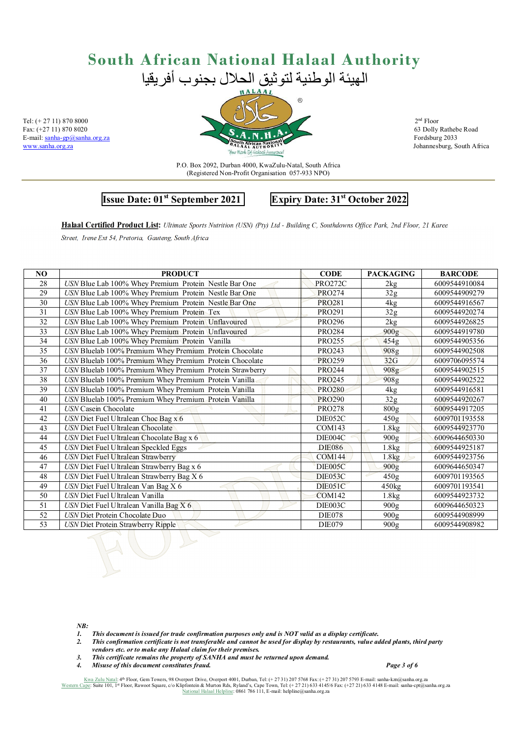E-mail: sanha-gp@sanha.org.za<br>www.sanha.org.za



Johannesburg, South Africa

P.O. Box 2092, Durban 4000, KwaZulu-Natal, South Africa (Registered Non-Profit Organisation 057-933 NPO)

**Issue Date: 01st September 2021 Expiry Date: 31st October 2022** 

**Halaal Certified Product List:** *Ultimate Sports Nutrition (USN) (Pty) Ltd - Building C, Southdowns Office Park, 2nd Floor, 21 Karee Street, Irene Ext 54, Pretoria, Gauteng, South Africa*

| N <sub>O</sub> | <b>PRODUCT</b>                                           | <b>CODE</b>    | <b>PACKAGING</b>  | <b>BARCODE</b> |
|----------------|----------------------------------------------------------|----------------|-------------------|----------------|
| 28             | USN Blue Lab 100% Whey Premium Protein Nestle Bar One    | <b>PRO272C</b> | 2kg               | 6009544910084  |
| 29             | USN Blue Lab 100% Whey Premium Protein Nestle Bar One    | <b>PRO274</b>  | 32g               | 6009544909279  |
| 30             | USN Blue Lab 100% Whey Premium Protein Nestle Bar One    | <b>PRO281</b>  | 4 <sub>kg</sub>   | 6009544916567  |
| 31             | USN Blue Lab 100% Whey Premium Protein Tex               | <b>PRO291</b>  | 32g               | 6009544920274  |
| 32             | USN Blue Lab 100% Whey Premium Protein Unflavoured       | <b>PRO296</b>  | 2kg               | 6009544926825  |
| 33             | USN Blue Lab 100% Whey Premium Protein Unflavoured       | <b>PRO284</b>  | 900g              | 6009544919780  |
| 34             | USN Blue Lab 100% Whey Premium Protein Vanilla           | <b>PRO255</b>  | 454g              | 6009544905356  |
| 35             | USN Bluelab 100% Premium Whey Premium Protein Chocolate  | <b>PRO243</b>  | 908g              | 6009544902508  |
| 36             | USN Bluelab 100% Premium Whey Premium Protein Chocolate  | <b>PRO259</b>  | 32G               | 6009706095574  |
| 37             | USN Bluelab 100% Premium Whey Premium Protein Strawberry | <b>PRO244</b>  | 908g              | 6009544902515  |
| 38             | USN Bluelab 100% Premium Whey Premium Protein Vanilla    | <b>PRO245</b>  | 908g              | 6009544902522  |
| 39             | USN Bluelab 100% Premium Whey Premium Protein Vanilla    | <b>PRO280</b>  | 4 <sub>kg</sub>   | 6009544916581  |
| 40             | USN Bluelab 100% Premium Whey Premium Protein Vanilla    | <b>PRO290</b>  | 32 <sub>g</sub>   | 6009544920267  |
| 41             | <b>USN</b> Casein Chocolate                              | <b>PRO278</b>  | 800g              | 6009544917205  |
| 42             | USN Diet Fuel Ultralean Choc Bag x 6                     | DIE052C        | 450g              | 6009701193558  |
| 43             | <b>USN</b> Diet Fuel Ultralean Chocolate                 | COM143         | 1.8kg             | 6009544923770  |
| 44             | USN Diet Fuel Ultralean Chocolate Bag x 6                | DIE004C        | 900 <sub>g</sub>  | 6009644650330  |
| 45             | USN Diet Fuel Ultralean Speckled Eggs                    | <b>DIE086</b>  | 1.8kg             | 6009544925187  |
| 46             | <b>USN</b> Diet Fuel Ultralean Strawberry                | <b>COM144</b>  | 1.8 <sub>kg</sub> | 6009544923756  |
| 47             | USN Diet Fuel Ultralean Strawberry Bag x 6               | <b>DIE005C</b> | 900 <sub>g</sub>  | 6009644650347  |
| 48             | USN Diet Fuel Ultralean Strawberry Bag X 6               | DIE053C        | 450g              | 6009701193565  |
| 49             | USN Diet Fuel Ultralean Van Bag X 6<br>antill 1          | DIE051C        | 450kg             | 6009701193541  |
| 50             | USN Diet Fuel Ultralean Vanilla                          | <b>COM142</b>  | 1.8kg             | 6009544923732  |
| 51             | USN Diet Fuel Ultralean Vanilla Bag X 6                  | DIE003C        | 900 <sub>g</sub>  | 6009644650323  |
| 52             | USN Diet Protein Chocolate Duo                           | <b>DIE078</b>  | 900g              | 6009544908999  |
| 53             | <b>USN Diet Protein Strawberry Ripple</b>                | <b>DIE079</b>  | 900g              | 6009544908982  |

*NB:* 

- *1. This document is issued for trade confirmation purposes only and is NOT valid as a display certificate.*
- *2. This confirmation certificate is not transferable and cannot be used for display by restaurants, value added plants, third party vendors etc. or to make any Halaal claim for their premises.*
- *3. This certificate remains the property of SANHA and must be returned upon demand.*
- *4. Misuse of this document constitutes fraud. Page 3 of 6*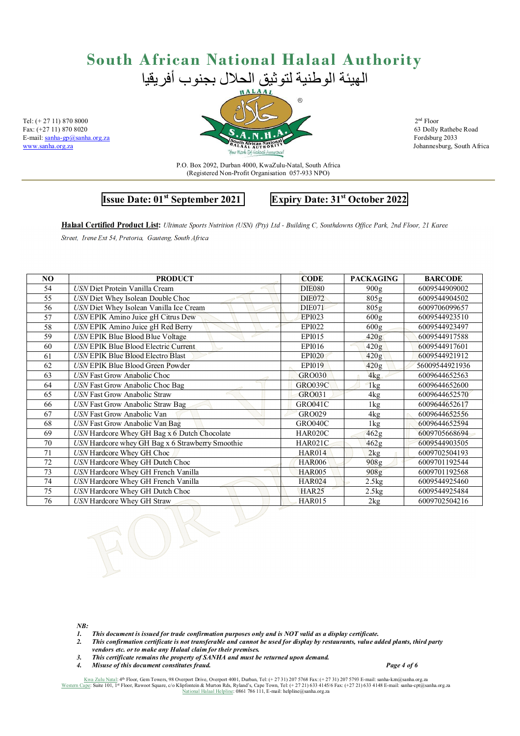E-mail: sanha-gp@sanha.org.za<br>www.sanha.org.za



Johannesburg, South Africa

P.O. Box 2092, Durban 4000, KwaZulu-Natal, South Africa (Registered Non-Profit Organisation 057-933 NPO)

**Issue Date: 01st September 2021 Expiry Date: 31st October 2022** 

**Halaal Certified Product List:** *Ultimate Sports Nutrition (USN) (Pty) Ltd - Building C, Southdowns Office Park, 2nd Floor, 21 Karee Street, Irene Ext 54, Pretoria, Gauteng, South Africa*

| N <sub>O</sub>  | <b>PRODUCT</b>                                   | <b>CODE</b>    | <b>PACKAGING</b> | <b>BARCODE</b> |
|-----------------|--------------------------------------------------|----------------|------------------|----------------|
| 54              | USN Diet Protein Vanilla Cream                   | <b>DIE080</b>  | 900g             | 6009544909002  |
| 55              | USN Diet Whey Isolean Double Choc                | <b>DIE072</b>  | 805g             | 6009544904502  |
| 56              | USN Diet Whey Isolean Vanilla Ice Cream          | <b>DIE071</b>  | 805g             | 6009706099657  |
| 57              | USN EPIK Amino Juice gH Citrus Dew               | <b>EPI023</b>  | 600g             | 6009544923510  |
| 58              | USN EPIK Amino Juice gH Red Berry                | EPI022         | 600g             | 6009544923497  |
| 59              | USN EPIK Blue Blood Blue Voltage                 | <b>EPI015</b>  | 420g             | 6009544917588  |
| 60              | USN EPIK Blue Blood Electric Current             | <b>EPI016</b>  | 420g             | 6009544917601  |
| 61              | <b>USN EPIK Blue Blood Electro Blast</b>         | <b>EPI020</b>  | 420g             | 6009544921912  |
| 62              | USN EPIK Blue Blood Green Powder                 | <b>EPI019</b>  | 420g             | 56009544921936 |
| 63              | USN Fast Grow Anabolic Choc                      | <b>GRO030</b>  | 4kg              | 6009644652563  |
| 64              | USN Fast Grow Anabolic Choc Bag                  | <b>GRO039C</b> | 1kg              | 6009644652600  |
| 65              | <b>USN</b> Fast Grow Anabolic Straw              | GRO031         | 4kg              | 6009644652570  |
| 66              | USN Fast Grow Anabolic Straw Bag                 | GRO041C        | 1kg              | 6009644652617  |
| 67              | USN Fast Grow Anabolic Van                       | GRO029         | 4 <sub>kg</sub>  | 6009644652556  |
| 68              | USN Fast Grow Anabolic Van Bag                   | GRO040C        | 1kg              | 6009644652594  |
| 69              | USN Hardcore Whey GH Bag x 6 Dutch Chocolate     | HAR020C        | 462g             | 6009705668694  |
| 70              | USN Hardcore whey GH Bag x 6 Strawberry Smoothie | <b>HAR021C</b> | 462g             | 6009544903505  |
| 71              | USN Hardcore Whey GH Choc                        | <b>HAR014</b>  | 2kg              | 6009702504193  |
| $\overline{72}$ | <b>USN</b> Hardcore Whey GH Dutch Choc           | <b>HAR006</b>  | 908 <sub>g</sub> | 6009701192544  |
| 73              | USN Hardcore Whey GH French Vanilla              | <b>HAR005</b>  | 908g             | 6009701192568  |
| 74              | USN Hardcore Whey GH French Vanilla              | <b>HAR024</b>  | 2.5kg            | 6009544925460  |
| 75              | USN Hardcore Whey GH Dutch Choc                  | <b>HAR25</b>   | 2.5kg            | 6009544925484  |
| 76              | USN Hardcore Whey GH Straw                       | <b>HAR015</b>  | 2kg              | 6009702504216  |
|                 |                                                  |                |                  |                |

*NB:* 

- *1. This document is issued for trade confirmation purposes only and is NOT valid as a display certificate.*
- *2. This confirmation certificate is not transferable and cannot be used for display by restaurants, value added plants, third party vendors etc. or to make any Halaal claim for their premises.*
- *3. This certificate remains the property of SANHA and must be returned upon demand.*
- *4. Misuse of this document constitutes fraud. Page 4 of 6*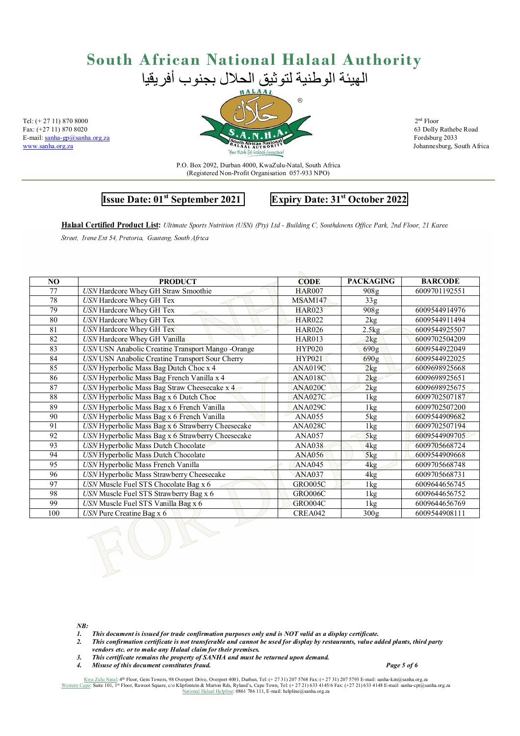E-mail: sanha-gp@sanha.org.za<br>www.sanha.org.za



Johannesburg, South Africa

P.O. Box 2092, Durban 4000, KwaZulu-Natal, South Africa (Registered Non-Profit Organisation 057-933 NPO)

**Issue Date: 01st September 2021 Expiry Date: 31st October 2022** 

**Halaal Certified Product List:** *Ultimate Sports Nutrition (USN) (Pty) Ltd - Building C, Southdowns Office Park, 2nd Floor, 21 Karee Street, Irene Ext 54, Pretoria, Gauteng, South Africa*

| N <sub>O</sub> | <b>PRODUCT</b>                                    | <b>CODE</b>    | <b>PACKAGING</b> | <b>BARCODE</b> |
|----------------|---------------------------------------------------|----------------|------------------|----------------|
| 77             | USN Hardcore Whey GH Straw Smoothie               | <b>HAR007</b>  | 908 <sub>g</sub> | 6009701192551  |
| 78             | USN Hardcore Whey GH Tex                          | MSAM147        | 33g              |                |
| 79             | USN Hardcore Whey GH Tex                          | <b>HAR023</b>  | 908g             | 6009544914976  |
| 80             | USN Hardcore Whey GH Tex                          | <b>HAR022</b>  | 2kg              | 6009544911494  |
| 81             | <b>USN</b> Hardcore Whey GH Tex                   | <b>HAR026</b>  | 2.5kg            | 6009544925507  |
| 82             | USN Hardcore Whey GH Vanilla                      | <b>HAR013</b>  | 2kg              | 6009702504209  |
| 83             | USN USN Anabolic Creatine Transport Mango -Orange | <b>HYP020</b>  | 690g             | 6009544922049  |
| 84             | USN USN Anabolic Creatine Transport Sour Cherry   | <b>HYP021</b>  | 690g             | 6009544922025  |
| 85             | USN Hyperbolic Mass Bag Dutch Choc x 4            | ANA019C        | 2kg              | 6009698925668  |
| 86             | USN Hyperbolic Mass Bag French Vanilla x 4        | ANA018C        | 2kg              | 6009698925651  |
| 87             | USN Hyperbolic Mass Bag Straw Cheesecake x 4      | ANA020C        | 2kg              | 6009698925675  |
| 88             | USN Hyperbolic Mass Bag x 6 Dutch Choc            | ANA027C        | $1\,\mathrm{kg}$ | 6009702507187  |
| 89             | USN Hyperbolic Mass Bag x 6 French Vanilla        | ANA029C        | 1kg              | 6009702507200  |
| 90             | USN Hyperbolic Mass Bag x 6 French Vanilla        | <b>ANA055</b>  | 5kg              | 6009544909682  |
| 91             | USN Hyperbolic Mass Bag x 6 Strawberry Cheesecake | ANA028C        | 1 <sub>kg</sub>  | 6009702507194  |
| 92             | USN Hyperbolic Mass Bag x 6 Strawberry Cheesecake | <b>ANA057</b>  | 5kg              | 6009544909705  |
| 93             | USN Hyperbolic Mass Dutch Chocolate               | <b>ANA038</b>  | 4kg              | 6009705668724  |
| 94             | USN Hyperbolic Mass Dutch Chocolate               | <b>ANA056</b>  | 5kg              | 6009544909668  |
| 95             | USN Hyperbolic Mass French Vanilla                | <b>ANA045</b>  | 4 <sub>kg</sub>  | 6009705668748  |
| 96             | USN Hyperbolic Mass Strawberry Cheesecake         | <b>ANA037</b>  | 4kg              | 6009705668731  |
| 97             | USN Muscle Fuel STS Chocolate Bag x 6             | <b>GRO005C</b> | $1\,\mathrm{kg}$ | 6009644656745  |
| 98             | USN Muscle Fuel STS Strawberry Bag x 6            | <b>GRO006C</b> | 1 <sub>kg</sub>  | 6009644656752  |
| 99             | USN Muscle Fuel STS Vanilla Bag x 6               | <b>GRO004C</b> | 1 <sub>kg</sub>  | 6009644656769  |
| 100            | $\overline{USN}$ Pure Creatine Bag x 6            | <b>CREA042</b> | 300g             | 6009544908111  |
|                |                                                   |                |                  |                |

*NB:* 

- *1. This document is issued for trade confirmation purposes only and is NOT valid as a display certificate.*
- *2. This confirmation certificate is not transferable and cannot be used for display by restaurants, value added plants, third party vendors etc. or to make any Halaal claim for their premises.*
- *3. This certificate remains the property of SANHA and must be returned upon demand.*
- *4. Misuse of this document constitutes fraud. Page 5 of 6*